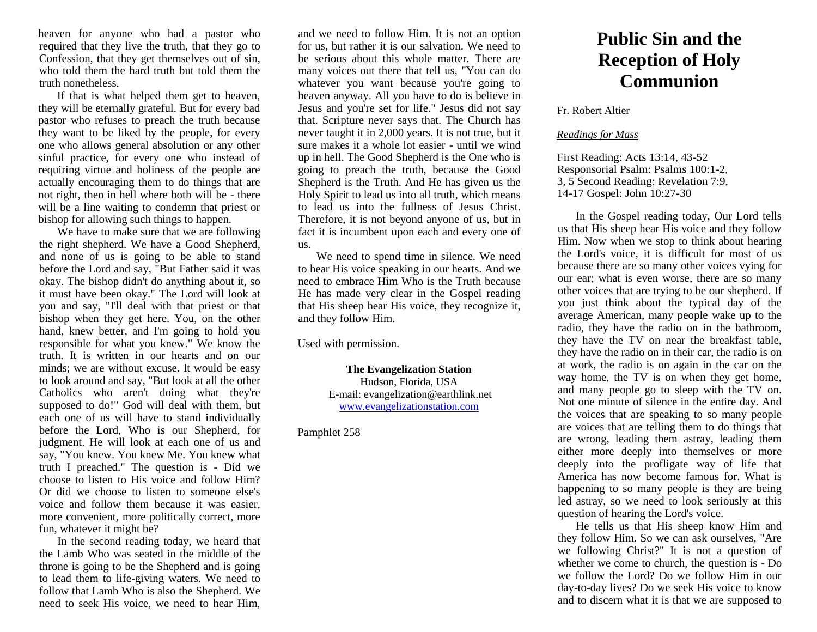heaven for anyone who had a pastor who required that they live the truth, that they go to Confession, that they get themselves out of sin. who told them the hard truth but told them the truth nonetheless.

If that is what helped them get to heaven, they will be eternally grateful. But for every bad pastor who refuses to preach the truth because they want to be liked by the people, for every one who allows general absolution or any other sinful practice, for every one who instead of requiring virtue and holiness of the people are actually encouraging them to do things that are not right, then in hell where both will be - there will be a line waiting to condemn that priest or bishop for allowing such things to happen.

We have to make sure that we are following the right shepherd. We have a Good Shepherd, and none of us is going to be able to stand before the Lord and say, "But Father said it was okay. The bishop didn't do anything about it, so it must have been okay." The Lord will look at you and say, "I'll deal with that priest or that bishop when they get here. You, on the other hand, knew better, and I'm going to hold you responsible for what you knew." We know the truth. It is written in our hearts and on our minds; we are without excuse. It would be easy to look around and say, "But look at all the other Catholics who aren't doing what they're supposed to do!" God will deal with them, but each one of us will have to stand individually before the Lord, Who is our Shepherd, for judgment. He will look at each one of us and say, "You knew. You knew Me. You knew what truth I preached." The question is - Did we choose to listen to His voice and follow Him? Or did we choose to listen to someone else's voice and follow them because it was easier, more convenient, more politically correct, more fun, whatever it might be?

In the second reading today, we heard that the Lamb Who was seated in the middle of the throne is going to be the Shepherd and is going to lead them to life-giving waters. We need to follow that Lamb Who is also the Shepherd. We need to seek His voice, we need to hear Him,

and we need to follow Him. It is not an option for us, but rather it is our salvation. We need to be serious about this whole matter. There are many voices out there that tell us, "You can do whatever you want because you're going to heaven anyway. All you have to do is believe in Jesus and you're set for life." Jesus did not say that. Scripture never says that. The Church has never taught it in 2,000 years. It is not true, but it sure makes it a whole lot easier - until we wind up in hell. The Good Shepherd is the One who is going to preach the truth, because the Good Shepherd is the Truth. And He has given us the Holy Spirit to lead us into all truth, which means to lead us into the fullness of Jesus Christ. Therefore, it is not beyond anyone of us, but in fact it is incumbent upon each and every one of us.

We need to spend time in silence. We need to hear His voice speaking in our hearts. And we need to embrace Him Who is the Truth because He has made very clear in the Gospel reading that His sheep hear His voice, they recognize it, and they follow Him.

Used with permission.

**The Evangelization Station** Hudson, Florida, USA E-mail: evangelization@earthlink.net [www.evangelizationstation.com](http://www.pjpiisoe.org/)

Pamphlet 258

## **Public Sin and the Reception of Holy Communion**

Fr. Robert Altier

## *Readings for Mass*

First Reading: Acts 13:14, 43-52 Responsorial Psalm: Psalms 100:1-2, 3, 5 Second Reading: Revelation 7:9, 14-17 Gospel: John 10:27-30

In the Gospel reading today, Our Lord tells us that His sheep hear His voice and they follow Him. Now when we stop to think about hearing the Lord's voice, it is difficult for most of us because there are so many other voices vying for our ear; what is even worse, there are so many other voices that are trying to be our shepherd. If you just think about the typical day of the average American, many people wake up to the radio, they have the radio on in the bathroom, they have the TV on near the breakfast table, they have the radio on in their car, the radio is on at work, the radio is on again in the car on the way home, the TV is on when they get home, and many people go to sleep with the TV on. Not one minute of silence in the entire day. And the voices that are speaking to so many people are voices that are telling them to do things that are wrong, leading them astray, leading them either more deeply into themselves or more deeply into the profligate way of life that America has now become famous for. What is happening to so many people is they are being led astray, so we need to look seriously at this question of hearing the Lord's voice.

He tells us that His sheep know Him and they follow Him. So we can ask ourselves, "Are we following Christ?" It is not a question of whether we come to church, the question is - Do we follow the Lord? Do we follow Him in our day-to-day lives? Do we seek His voice to know and to discern what it is that we are supposed to